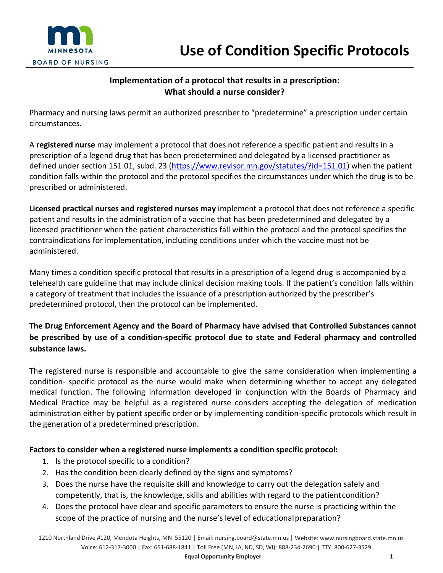

## **Implementation of a protocol that results in a prescription: What should a nurse consider?**

Pharmacy and nursing laws permit an authorized prescriber to "predetermine" a prescription under certain circumstances.

A **registered nurse** may implement a protocol that does not reference a specific patient and results in a prescription of a legend drug that has been predetermined and delegated by a licensed practitioner as defined under section 151.01, subd. 23 [\(https://www.revisor.mn.gov/statutes/?id=151.01\)](https://www.revisor.mn.gov/statutes/?id=151.01) when the patient condition falls within the protocol and the protocol specifies the circumstances under which the drug is to be prescribed or administered.

**Licensed practical nurses and registered nurses may** implement a protocol that does not reference a specific patient and results in the administration of a vaccine that has been predetermined and delegated by a licensed practitioner when the patient characteristics fall within the protocol and the protocol specifies the contraindications for implementation, including conditions under which the vaccine must not be administered.

Many times a condition specific protocol that results in a prescription of a legend drug is accompanied by a telehealth care guideline that may include clinical decision making tools. If the patient's condition falls within a category of treatment that includes the issuance of a prescription authorized by the prescriber's predetermined protocol, then the protocol can be implemented.

## **The Drug Enforcement Agency and the Board of Pharmacy have advised that Controlled Substances cannot be prescribed by use of a condition-specific protocol due to state and Federal pharmacy and controlled substance laws.**

The registered nurse is responsible and accountable to give the same consideration when implementing a condition- specific protocol as the nurse would make when determining whether to accept any delegated medical function. The following information developed in conjunction with the Boards of Pharmacy and Medical Practice may be helpful as a registered nurse considers accepting the delegation of medication administration either by patient specific order or by implementing condition-specific protocols which result in the generation of a predetermined prescription.

## **Factors to consider when a registered nurse implements a condition specific protocol:**

- 1. Is the protocol specific to a condition?
- 2. Has the condition been clearly defined by the signs and symptoms?
- 3. Does the nurse have the requisite skill and knowledge to carry out the delegation safely and competently, that is, the knowledge, skills and abilities with regard to the patientcondition?
- 4. Does the protocol have clear and specific parameters to ensure the nurse is practicing within the scope of the practice of nursing and the nurse's level of educationalpreparation?